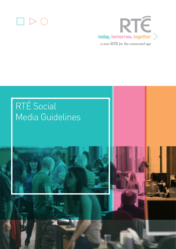



# RTÉ Social Media Guidelines



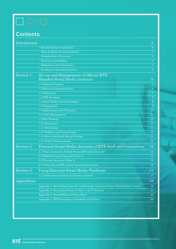# $\Box \triangleright \bigcirc$

# **Contents**

| Introduction |                                                                                       | $\overline{2}$ |
|--------------|---------------------------------------------------------------------------------------|----------------|
|              | • Reason for these Guidelines                                                         | $\overline{2}$ |
|              | • What Is Meant By Social Media?                                                      | $\overline{2}$ |
|              | · Classification of Accounts                                                          | $\overline{2}$ |
|              | • Breaches of Guidelines                                                              | $\mathbf{3}$   |
|              | • Obligations and Constraints                                                         | 3              |
|              | · Guidelines Updating Procedure                                                       | $\overline{4}$ |
| Section 1.   | Set-up and Management of Official RTE<br><b>Branded Social Media Accounts</b>         | $\overline{5}$ |
|              | 1.1 Editorial Purpose                                                                 | $\overline{5}$ |
|              | 1.2 Roles and Responsibilities                                                        | $6^{\circ}$    |
|              | 1.3 Moderation                                                                        | $\overline{7}$ |
|              | 1.4 RTÉ Branding                                                                      | 8              |
|              | 1.5 Social Media Account Creation                                                     | 9              |
|              | 1.6 Engagement                                                                        | 9              |
|              | 1.7 Rights Issues and Clearance                                                       | $11\,$         |
|              | 1.8 Crisis Management                                                                 | 12             |
|              | 1.9 Exit Strategy                                                                     | 13             |
|              | 1.10 Newsletters                                                                      | 13             |
|              | 1.11 Advertising                                                                      | 13             |
|              | 1.12 Children and Young People                                                        | 13             |
|              | 1.13 How to Deal with Abuse/Trolling                                                  | 14             |
|              | 1.14 Product Endorsements                                                             | 14             |
| Section 2.   | Personal Social Media Accounts of RTÉ Staff and Contractors                           | 15             |
|              | 2.1 What is meant by Hybrid Personal/Personal Account?                                | 15             |
|              | 2.2 Hybrid Personal Accounts (Class 3)                                                | 15             |
|              | 2.3 Personal Accounts (Class 4)                                                       | 15             |
|              | 2.4 Ownership of RTÉ content on personal accounts                                     | 15             |
| Section 3.   | Using External Social Media Platforms                                                 | 17             |
|              | 3.1 Information gathering and source material                                         | 17             |
| Appendices   |                                                                                       | 19             |
|              | Appendix 1. Social Media Account and Strategy Clearance Form, Classifications 1 and 2 | 19             |
|              | Appendix 2. Declaration Form re Class 1, 2 or 3 Account                               | 24             |
|              | Appendix 3. Social Media and Your Show                                                | 25             |
|              | Appendix 4. RTÉ Branding on Facebook and Twitter                                      | 26             |
|              |                                                                                       |                |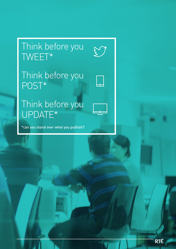# Think before you TWEET\*

Think before you POST\*

-<br>-<br>-

Think before you UPDATE\*

\*can you stand over what you publish?

1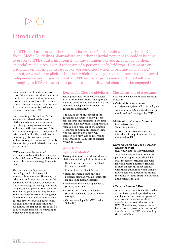## Introduction

All RTÉ staff and contributors should be aware of and should abide by the RTÉ Social Media Guidelines. Journalists and other editorial personnel should take care to preserve RTÉ's editorial integrity in any comments or postings made by them on social media sites, even if these are of a personal or hybrid type. Comments or criticisms on public events, issues or personalities, whether originated or copied/ shared, or whether explicit or implied, which may appear to compromise the editorial independence and impartiality of an RTÉ editorial professional or RTÉ itself are damaging to RTÉ's interest and public responsibility and should not be engaged in.

Social media and broadcasting are powerful partners. Social media allows people to enjoy our content in many ways and on many levels. It connects us with audiences and is a platform to develop new communities who share a common connection: RTÉ.

Social media platforms like Twitter are now considered established platforms to break news stories or to provide a primary source material and, along with Facebook, YouTube etc., are commonplace in the sphere of private and public life; social media, increasingly, is how we and our audiences keep in contact with friends, discuss lifestyle and related issues, and share content.

RTÉ encourages its staff and contractors to be active in and engage with social media. These guidelines aim to provide common-sense guidance for its use.

The internet is a fast-moving technology and it is impossible to cover all circumstances. However, the principles and practices set out in this document should always be followed. A full knowledge of these guidelines is the personal responsibility of all staff, an essential professional requirement and a matter of contractual obligation. As social media and other online tools put the power to publish our stories, our lives and our opinions into all of our hands, the impact of this on RTÉ's public service mission is something in which we are all involved.

#### **Reason for These Guidelines**

These guidelines are meant to assist RTÉ staff and contractors navigate an evolving social media landscape. As this medium develops we will revisit the guidelines accordingly.

If in doubt about any aspect of the guidelines as outlined below please contact your line manager in the first instance. S/he may then, if appropriate, refer you to a member of the Human Resources or Communications teams who will clarify any query. On occasion you may also be referred to a designated social media specialist within the IBDs.

#### **What Is Meant by Social Media?**

These guidelines cover all social media platforms including but not limited to:

- Social networking sites (Facebook, Myspace, LinkedIn)
- • Micro-blogging sites (Twitter)
- • Blogs (including company and personal blogs as well as comments on all social media platforms)
- • Video and photo sharing websites (Flickr, YouTube)
- • Forums and discussion boards (Boards.ie, Google Groups, Yahoo! Groups)
- • Online encyclopedias (Wikipedia, Sidewiki)

#### **Classifications of Accounts**

RTÉ acknowledges four classifications of account:

- **1. Official Service Account** (e.g. @rtenews; @rteradio1; @rteplayer) An account which is officially set up, monitored and managed by RTÉ
- **2. Official Programme Account** (e.g. @drivetimerte; @morning\_ireland)

 A programme account which is officially set up and monitored and managed by RTÉ

#### **3. Hybrid Personal Use by On-Air/ Editorial Staff**

(e.g. @miriamocal, @bryansixone)

 A personal account that an on-air presenter, reporter or other RTÉ staff member/contractor also uses for work related matters. Holders of such an account must comply with these guidelines when using a hybrid personal account for all use, including without limitation personal and professional use.

#### **4.Private Personal Use**

 A personal account is a social media account set up and operated by an employee or contractor for personal matters and contains minimal association between the user and RTÉ. Nonetheless, these accounts, by nature of the owner's contractual association with RTÉ, are bound by these guidelines.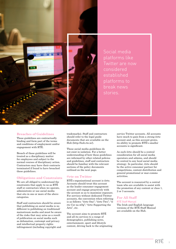

Social media platforms like Twitter are now considered established platforms to break news stories.

#### **Breaches of Guidelines**

These guidelines are contractually binding and form part of the terms and conditions of employment and/or engagement with RTÉ.

Breach of these guidelines will be treated as a disciplinary matter for employees and subject to the normal courses of disciplinary action. Contractors may have their contracts terminated if found to have breached these guidelines.

#### **Obligations and Constraints**

We are all obliged to understand the constraints that apply to us as RTÉ staff or contractors when we operate, administrate or use social media that sits in one or more of the above categories.

Staff and contractors should be aware that publishing on social media is no different to publishing on traditional/ mainstream media and must be aware of the risks that may arise as a result of publication on social media such as defamation, contempt and privacy and intellectual property rights infringement (including copyright and

trademarks). Staff and contractors should refer to the legal guide documents that are available on the Hub (http://hub.rte.ie/).

These social media guidelines do not exist in isolation. For a better understanding of how these guidelines are informed by other related policies and guidelines, staff and contractors should be familiar with the relevant sections of the policy documents outlined on the next page.

#### **@rte on Twitter**

RTÉ's organisational account is @rte. Accounts should treat this account as the leader consumer engagement account and engage proactively with the account so as to maximise exposure. For services without dedicated Twitter accounts, the convention when referring is as follows: "@rte One"; "@rte Two"; "@ rte Cor na nOg"; "@rte Supporting the Arts", etc.

The account aims to promote RTÉ and all its services to a range of demographics, publishing news, entertainment, sport and lifestyle content, driving back to the originating service Twitter accounts. All accounts have much to gain from a strong @rte account and, as this account grows, its ability to promote RTÉ's smaller accounts is significant.

As such @rte should be a central consideration for all social media operators and admins, and should be central to any local social media strategy. In particular, @rte should be the active consumer partner for competitions, content-distribution and general promotional or mar-comms activities.

The account is resourced by a central team who are available to assist with the promotion of any content or class 1, 2 or 3 accounts.

#### **For All Staff**

RTÉ Staff Manual The Irish and English language versions of the RTÉ Staff Manual are available on the Hub.

3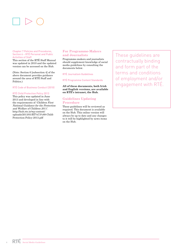#### Chapter 7 Policies and Procedures, Section 6 – RTÉ Personal and Public Activities of Staff

This section of the RTÉ Staff Manual was updated in 2010 and the updated version can be accessed on the Hub.

(Note: Section 6 [subsection 4] of the above document provides guidance around the area of RTÉ Staff and Politics.)

RTÉ Code of Business Conduct (2010)

#### RTÉ Child Protection Policy 2013

This policy was updated in June 2013 and developed in line with the requirements of 'Children First National Guidance for the Protection and Welfare of Children 2011'. http://hub.rte.ie/wp-content/ uploads/2013/01/RT%C3%89-Child-Protection-Policy-2013.pdf

#### **For Programme-Makers and Journalists**

Programme-makers and journalists should supplement knowledge of social media guidelines by consulting the documents below.

RTÉ Journalism Guidelines

RTÉ Programme Content Standards

**All of these documents, both Irish and English versions, are available on RTÉ's intranet, the Hub.**

#### **Guidelines Updating Procedure**

These guidelines will be reviewed as required. This document is available on the Hub. This online version will always be up to date and any changes to it will be highlighted by news items on the Hub.

These guidelines are contractually binding and form part of the terms and conditions of employment and/or engagement with RTÉ.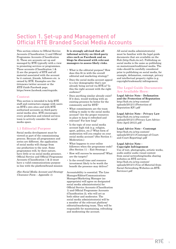## Section 1. Set-up and Management of Official RTÉ Branded Social Media Accounts

This section relates to Official Service Accounts (Classification 1) and Official Programme Accounts (Classification 2). These are accounts set up and managed by RTÉ typically with a view to promoting services or programmes. These accounts (Classification 1 & 2) are the property of RTÉ and all material associated with the account be it content, friends, followers etc. is owned by RTÉ. Examples are the @rtenews twitter account or the RTÉ Guide Facebook page. https://www.facebook.com/rteguide.

#### **Context**

This section is intended to help RTÉ staff and contractors engage with users on RTÉ's own sites and with RTÉ authorised accounts on third-party social media sites. RTÉ encourages every production and related services team to actively consider the social media space.

#### **1.1 Editorial Purpose**

Social media development must be viewed as part of the commissioning process. Because all programmes and series are different, the application of social media will change from one production to the next. Some programmes will, by their nature, have little or no social media presence. Official Service and Official Programme Accounts (Classification 1 & 2) must have a valid communications purpose in line with the platform/brand mission

(See Social Media Account and Strategy Clearance Form – Appendix 1).

**It is strongly advised that all informal activity on third-party sites such as Facebook and on blogs be discussed with relevant managers to assess likely risks.** 

- What is the editorial purpose? How does this fit in with the overall editorial and marketing strategy?
- Does the social media account appeal to a key demographic that's not already being served via RTÉ.ie? Is this the right account with the right audience?
- Does anything similar already exist? If it does, would working with an existing presence be better for the community and for RTÉ?
- • What commitments are the team willing to make to the social media account? Are the proper resources in place to keep it refreshed and relevant? For how long?
- Is the topic of your social media account high risk (e.g. religion, sport, politics, etc.)? What form of moderation will you employ on your social media account? (See Section 4 - Moderation.)
- What happens to your online followers when the programme ends? (See Section 11 – Exit Strategy.)
- • How will success be measured? What are the targets?
- Is the overall time and resource investment likely to be worth the benefit the presence may deliver?

Accountability is essential. The Line Manager/Editor/Communications Manager/Marketing Manager (as appropriate) will agree on designated social media administrator(s) for Official Service Accounts (Classification 1) and Official Programme Accounts (Classification 2), who will act as both editor and moderator. The social media administrator(s) will be a member of the relevant platform/ editorial/marketing team. They will be responsible for maintaining, refreshing and moderating the account.

All social media administrator(s) must be familiar with the legal guide documents that are available on the Hub (http://hub.rte.ie/). Publishing on social media is the same as publishing on mainstream/traditional media. The risks should be carefully considered prior to publishing on social media, for example, defamation, contempt, privacy and intellectual property rights (e.g. copyright/trademark) infringement.

#### **The Legal Guide Documents Are Available Here:**

**Legal Advice Note – Defamation and the Protection of Reputation**  http://hub.rte.ie/wp-content/ uploads/2012/11/Protection-of-Reputation-KF1.pdf

## **Legal Advice Note – Privacy Law**  http://hub.rte.ie/wp-content/

uploads/2012/11/Privacy-Law-Advice-Note-April-20121.pdf

#### **Legal Advice Note – Contempt**

http://hub.rte.ie/wp-content/ uploads/2012/11/Contempt-of-Courtand-Court-Reporting1.pdf

#### **Legal Advice Note – Copyright Infringement**

Use of text, photographs, artistic works, audio and/or audio visual content from social networking/media sharing websites on RTÉ services. http://hub.rte.ie/wp-content/ uploads/2012/11/Use-of-Material-from-Social-Networking-Websites-on-RTÉ-Services1.pdf

5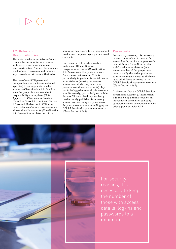#### **1.2. Roles and Responsibilities**

The social media administrator(s) are responsible for maintaining regular audience engagement when using third-party sites. This will help to keep track of active accounts and manage any risk-related situations that arise.

The use of non-RTÉ personnel (independent contractors or external agencies) to manage social media accounts (Classification 1 & 2) is fine once the proper insurances about responsibility are in place. (Note: Appendix 1: Clearance to Create a Class 1 or Class 2 Account and Section 1.3 around Moderation). RTÉ must have in-house administrator access on all social media accounts (Classification 1 & 2) even if administration of the

account is designated to an independent production company, agency or external contractor.

Care must be taken when posting updates on Official Service/ Programme Accounts (Classification 1 & 2) to ensure that posts are sent from the correct account. This is particularly important for social media administrator(s) using numerous accounts (and who may also have personal social media accounts). Try not to be logged onto multiple accounts simultaneously, particularly on mobile devices. This can lead to posts being inadvertently published from wrong accounts or, worse again, posts meant for your personal account ending up on Official Service/Programme Accounts (Classification 1  $\&$  2).

#### **Passwords**

For security reasons, it is necessary to keep the number of those with access details, log-ins and passwords to a minimum. In addition to the social media administrator(s) a senior member of the programme team, usually the series producer/ editor or manager, must at all times, have administrator access to the Official Service/Programme Accounts (Classification 1 & 2).

In the event that an Official Service/ Programme Account (Classification 1 & 2) is being administered by an independent production company, passwords should be changed only by prior agreement with RTÉ.



For security reasons, it is necessary to keep the number of those with access details, log-ins and passwords to a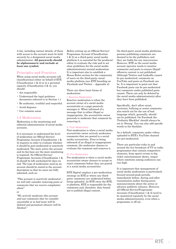A list, including contact details, of those with access to the account must be held securely by a designated social media administrator. **All passwords should be alphanumeric and include at least one symbol.** 

#### **Principles and Practices**

When using social media accounts (all classifications) either on behalf of RTÉ (Classification 1 & 2) or in a personal capacity (Classification 3 & 4), you should:

- Act responsibly
- Understand the legal guidance documents referred to in Section 1.1
- • Be authentic, truthful and respectful
- • Avoid disputes
- • Use common sense

#### **1.3 Moderation**

Moderation is the monitoring and editorial administration of social media accounts.

It is necessary to understand the level of moderation an Official Service/ Programme Account (Classification 1 & 2) requires in order to evaluate whether it should be post-moderated or reactively moderated. The more active the account and its fan base are the more monitoring is required. No Official Service/ Programme Accounts (Classification 1 & 2) should be left unchecked for days on end. The type of moderation used on an account should be stated in the account description so that its users are fully informed, such as:

"This account is reactively moderated – we will only consider removing posts or comments that we receive complaints about"

or

"We actively moderate this account and any comments that we consider unsuitable or in bad taste will be deleted and persistent abusers will be blocked."

Before setting up an Official Service/ Programme Account (Classification 1 & 2) on a third-party social media platform it is essential for the producer/ editor to evaluate the risk and to set clear guidelines for the social media administrator(s) around moderation. It is important also to establish a House Rules section for the community of users on the third-party social media platform *(see RTÉ branding on* Facebook and Twitter – Appendix 4).

There are three basic forms of moderation:

#### I. Reactive Moderation

Reactive moderation is when the account owner of a social media account/site or a page passively manages it. When informed of a message that is either illegal or inappropriate, the account/site owner proceeds to moderate that comment by removing it.

#### II. Post-Moderation

Post-moderation is when a social media account/site owner actively moderates comments that are posted to a social media account/site. Prior to being informed of an illegal or inappropriate comment, the moderator chooses to evaluate the comment and removes it.

#### III. Pre-Moderation

Pre-moderation is when a social media account/site owner chooses to accept or reject comments before they are posted to a social media account/site.

RTÉ Digital employs a pre-moderation strategy on RTÉ.ie where any thirdparty comments are moderated before being uploaded. As RTÉ owns the RTÉ. ie platform, RTÉ is responsible for the comments and, therefore, duty bound not to publish illegal content.

On third-party social media platforms, persons publishing comments are deemed to be the publishers and they are liable for any inaccuracies. However, RTÉ as the social media account operator needs to monitor comments and posts to ensure illegal/ offensive content is not published. Although Twitter and LinkedIn cannot be pre-moderated, comments on YouTube and posts on Facebook can be. It is important to point out that Facebook posts can be pre-moderated but comments under published posts cannot. These can only be deleted by the social media adminstrator(s) after they have been published.

Specifically, don't allow racist, sectarian, bullying or sexist comments; also watch out for the use of bad language which, generally, should not be published. On Facebook the 'Profanity Blocklist' should always be set to 'Strong'. You can also add specific words to the blocklist.

As a default, comments under videos uploaded to RTÉ's YouTube channel are pre-moderated.

There are particular risks in and around the live broadcast of TV or radio programmes that contain competitive elements, from sports events to big ticket entertainment shows, output where emotions among audiences can run high.

It is important that management of social media moderation is particularly focused around peak periods, immediately before, during and after transmission and/or during press announcements about the series or advance publicity releases. However, all Official Service/Programme Accounts (Classification 1 & 2) need to be monitored regularly by the social media administrator(s), even when a programme is off-air.

7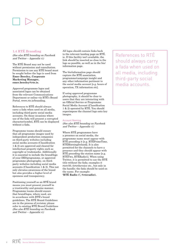#### **1.4 RTÉ Branding**

(See also RTÉ branding on Facebook and Twitter – Appendix 4.)

The RTÉ Brand may not be used without permission and consultation. Permission to use any RTÉ brand must be sought before the logo is used from **Emer Beesley, Corporate Marketing Manager, emer.beesley@rte.ie.**

Approved programme logos and associated logos can be obtained from the relevant Communications Department or online via RTÉ's Brand Portal, www.rte.ie/branding.

References to RTÉ should always carry a fada when used on all media, including third-party social media accounts. On those occasions where use of the fada will present a corrupted character/symbol, RTÉ can be displayed without a fada.

Programme teams should ensure that all programme images used by independent production companies on third-party websites including social media accounts (Classification 1 & 2) are approved and cleared for intellectual property rights such as copyright or trademarks. Additionally it is essential to include the brand/logo of your IBD/programme, or approved programme photography, on thirdparty websites including social media accounts (Classification 1 & 2). This not only elevates awareness of the brand but also provides a higher level of openness and transparency.

Positioning yourself as an RTÉ brand means you must present yourself in a trustworthy and genuine manner. Programme teams should ensure that brand/logos, where used, are in accordance with RTÉ's brand guidelines. The RTÉ Brand Guidelines are in the process of revision; please refer to existing RTÉ Brand Guidelines (See also RTÉ branding on Facebook and Twitter – Appendix 4.)

All logos should contain links back to the relevant landing page on RTÉ. ie. If this facility isn't available, the link should be inserted as close to the logo as possible, as well as in the bio/ information page.

The bio/information page should capture the RTÉ association, programme/campaign insight and any other information pertinent to the social media account [e.g. hours of operation, TX information etc].

If using approved programme photography, it should be clear to users that they are interacting with an Official Service or Programme Social Media Account (Classification 1 & 2) operated by RTÉ. You should superimpose the channel logo onto key images.

#### Account Naming

(See also RTÉ branding on Facebook and Twitter – Appendix 4.)

Where RTÉ programmes have a presence on social media, the programme name must appear with RTÉ preceding it [e.g. RTÉPrimeTime, RTÉMorningIreland]. It is also permitted for the channels to have a presence and they should appear with RTÉ preceding the station name [e.g. RTÉTwo, RTÉRadio1]. When using Twitter, it is permitted to use the RTÉ title without the fada; examples @ rtetv50, @rtethevoice etc., but only in the handle; the fada should be used on the name. For example: **'RTÉ Radio 1', @rteradio1.**

References to RTÉ should always carry a fada when used on all media, including third-party social media accounts.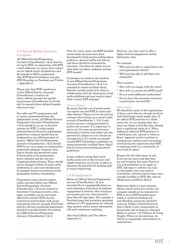#### **1.5 Social Media Account Creation**

All Official Service/Programme Accounts (Classification 1 & 2) must be set up by RTÉ, in conjunction with RTÉ e-mail addresses, to ensure that content can be linked across all platforms and the benefit to RTÉ is maximised. (See RTÉ Brand Guidelines and also RTÉ Branding on Facebook and Twitter – Appendix 4)

Please note that RTÉ's preference is that Official Service Accounts (Classification 1) lead at all times; official accounts for specific programmes (Classification 2) should only be opened where defined bespoke objectives exist.

For radio and TV programmes and/ or series commissioned from the independent sector, all Official Service/ Programme Accounts (Classification 1 & 2) should be set up, in the first instance by RTÉ. A social media administrator(s) from the independent production company should then be designated as an additional point of contact. Official Service/Programme Accounts (Classification 1  $\&$  2) should NOT be set up as pages on independent production company corporate sites. Log-in details and passwords must be forwarded to the programme/ series editor[s] and the relevant Communications division. These should not be changed without 24 hours prior notification to same and should never be changed during transmission of the programme without consultation.

Programme teams should conduct online searches before new Official Service/Programme Accounts (Classification 1 & 2) are created to determine if existing accounts, sites, pages or profiles can be used more effectively instead. RTÉ also has contractual partnerships with social networking sites for example (YouTube) and the relevant marketing department should be consulted before developing any Official Service/Programme Accounts (Classification 1 & 2).

Over the years, many non-RTÉ branded social media accounts have been developed by third-parties (independent producers, general public and others) and these should be evaluated for relevancy. Can these be taken over or shut down to reduce confusion around RTÉ brands?

If mistakes are made in the creation of new Official Service/Programme Accounts (Classification 1 & 2) it is essential to correct or delete them. Deletion usually needs to be done in collaboration with the third-party social media platform and may require input from a senior RTÉ manager.

#### Privacy Settings

Be aware that the use of social media can expose you and RTÉ to scams and other threats. Please review the privacy settings when setting up a social media account (Classification 1, 2 & 3) and ensure you use a strong password to protect the account. It is important to never use the same password across third-party websites and make sure the password is unique so as to elevate its strength level. If in doubt you should consult RTÉ Technology's guidelines on strong passwords available here: http:// hub.rte.ie/resources/strong-passwordguidelines/

It goes without saying that social media scams are on the increase and simple measures can be put in place to alleviate the potential for hacking and/ or social engineering.

#### **1.6 Engagement**

Before an Official Service/Programme Account (Classification 1 & 2) is launched (be it a page/profile/site) you must determine what level of audience engagement is desired, what resources are needed and over what period of time this will take place. For example, a Facebook page that promotes upcoming editions of a TV programme by utilising clips, promos and/or teaser information will need continuous updating.

(See Social Media and Your Show – Appendix 3.)

However, you may want to offer a higher level of engagement within third-party sites.

#### For example:

- • Will users be able to upload their own [user] generated content?
- • Will users be able to add their own comments?

#### Then consider:

- How will you engage with the users?
- How will you protect the RTÉ brand?
- • Do you need additional moderation?
- • Do you have the necessary resources to participate successfully?

#### Tone of Voice

We should be aware of the expectations of those users who are already involved with third-party social media sites. If we add an RTÉ presence to a thirdparty site, we are joining their site; users are likely to feel that they already have a significant stake in it. When adding an informal RTÉ presence to a third-party site, operate a 'when in Rome' approach and be sensitive to existing user customs and conventions. Avoid giving the impression that RTÉ is imposing itself on a community of users and its space.

Respect the fact that users on site X are not our users and that they are not bound by the same Terms of Use and guidelines as we apply at RTÉ. Attempts to enforce our rules on third-party sites may lead to resentment, criticism and in some cases outright hostility to RTÉ (See note on Moderation and House Rules).

Behaviour likely to cause extreme offence (racist and sexist insults, for example) should not be tolerated by RTÉ or on an RTÉ-branded space within a social networking site and offending comments should be removed. Neither should behaviour that is likely to put young people at foreseeable risk or harm be tolerated. (Refer to section 1.12 Children & Young People). Where we do intervene, we will do so responsibly and sensitive to expectations.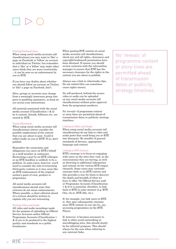#### Friends/Follows/Likes

When using social media accounts (all classifications) you may want to 'like' a page on Facebook or 'follow' an account or individual on Twitter, but remember that a 'like' or a 'follow' may make other users think they are more trustworthy – it can be seen as an endorsement by you or RTÉ.

If you have any doubts about whether you should follow an account on Twitter or 'like' a page on Facebook, don't.

Sites, groups or accounts may change from a seemingly innocuous group into porn or gambling spammers, so keep an eye across your interactions.

All material associated with the social media account (Classification 1 & 2) be it content, friends, followers etc. are owned by RTÉ.

#### Tweets/Retweets

When using social media accounts (all classifications) always consider the possible implications of the content that you are about to post. Could it reflect badly on you or RTÉ? If so, don't publish.

Remember the constraints and obligations you carry on RTÉ's behalf as a staff member or contractor. Retweeting a post by an RTÉ colleague or an RTÉ headline is unlikely to be a problem. In some cases, however, you'll need to consider the risk of retweeting third-party content as it may seem like an RTÉ endorsement of the original author's point of view, product or programme.

All social media accounts (all classifications) should state that retweets do not mean endorsements. Where possible, a short editorial ahead of a retweet should be written to explain why you are retweeting.

#### Posting Video and Audio

All video and audio recordings made for the purpose of uploading on Official Service Accounts and/or Official Programme Accounts (Classification 1 & 2) are to be produced to the highest quality and standards as a public broadcaster.

When posting RTÉ content on social media accounts (all classifications), check any and all rights, clearances and copyright/trademark permissions have been obtained. If unsure you should review contracts with the relevantline manager to ensure that RTÉ has the necessary clearance for the rights in the content you are about to publish.

Always use a link to video/audio clips. Do not embed (this can sometimes cause rights issues).

No self-produced, behind-the-scenes video or audio can be uploaded on any social media accounts (all classifications) without prior approval from the programme producer.

No 'reveals' of programme content or story-lines are permitted ahead of transmission dates or publicity strategy timelines.

#### Linking to Video and Audio

When using social media accounts (all classifications) do not link to video and audio posts that could bring you or RTÉ into disrepute. Be mindful of general standards of decency, appropriate language and content.

#### Linking to RTÉ Content

RTÉ's strategy is to focus on engaging with users on the sites they visit, in the conversations they are having, as well as directing to additional information and content on the various RTÉ output channels. Some users may currently consume little or no RTÉ content and this provides a way for them to discover the depth and breadth of what we have to offer. On Official Service and/ or Programme Accounts (Classification 1 & 2) it is essential, therefore, to link back to RTÉ in some manner (e.g. RTÉ One, rte.ie, RTÉ 2fm, etc.).

If, for example, you link users to RTÉ. ie, they may subsequently consume more RTÉ content on our site by, say, accessing programmes on the RTÉ Player.

If, however, it becomes necessary to link to other social networking or microblogging sites, this should clearly be for editorial purposes. This should always be the case when referring to any external links.

No 'reveals' of programme content or story-lines are permitted ahead of transmission dates or publicity strategy timelines.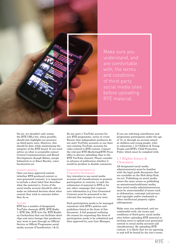

Make sure you understand, and are comfortable with, the terms and conditions of third-party social media sites before uploading RTÉ material.

On air, we shouldn't only notate the RTÉ URLs but, when possible, should also highlight our presence on third-party sites. However, this should be done while maintaining the integrity of the RTÉ brand. If you need advice on what is acceptable contact Central Communications and Brand Development (Joseph Hoban, joseph. hoban@rte.ie or Emer Beesley, emer. beesley@rte.ie).

#### Content Labelling

Once you have approved content (whether RTÉ-produced content or user-generated content), it is important to include a short label that describes what the material is. Users of the social media account should be able to make an informed decision about what content they wish to consume before they do so.

#### YouTube

RTÉ has a number of designated YouTube channels (RTÉ, RTÉ Radio 1, RTÉ 2fm, RTÉ lyric fm, RTÉ Raidió na Gaeltachta) that can facilitate short clips and extra footage that producers may want to post through an Official Service or Official Programme social media account (Classification 1 & 2).

Do not start a YouTube account for any RTÉ programme, series or event. Ensure that independent producers do not start YouTube accounts or use their own existing YouTube accounts for video related to RTÉ content. Contact the relevant RTÉ Marketing/RTÉ Press office to discuss uploading clips to the RTÉ YouTube channel. Please consider in advance of publication whether it would be prudent to disable comments.

#### Soliciting Contributors or Programme Participants

Any intention to use social media accounts (all classifications) to promote participation in contests, to seek the submission of material to RTÉ or for any other campaign that requests user information (e.g User Generated Content) must be presented to the relevant line manager in your area.

Such participation needs to be managed consistent with RTÉ's policies and guidelines listed at the front of this document. A full proposal outlining the reason for requesting this form of participation needs to be submitted and then approved by your Line Manager.

If you are soliciting contributors and programme participants under the age of 18, or through an account aimed at children and young people, refer to subsection 1.12 Children & Young People and RTÉ's Child Protection Policy which must be complied with.

#### **1.7 Rights Issues & Clearance**

All designated social media administrator(s) must be familiar with the legal guide documents that are available on the Hub (http://hub. rte.ie/). Publishing on social media raises the same issues as publishing on mainstream/traditional media; thus social media administrators/you must be aware/mindful of issues such as defamation, contempt and privacy and copyright and/or trademark or other intellectual property rights infringement.

Make sure you understand, and are comfortable with, the terms and conditions of third-party social media sites before uploading RTÉ material or inviting users to upload user-generated content to social media accounts (all classifications). By uploading RTÉ content, it is likely that we are agreeing to and will be bound by the site's terms.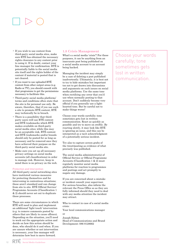- If you wish to use content from third-party social media sites, make sure RTÉ has obtained the necessary rights clearance to any content prior to using it. If in doubt, contact your line manager for confirmation. RTÉ is potentially liable to the social media site itself and the rights holder of the content if material is posted that is not cleared.
- • If you want to use uploaded RTÉ content from other output areas (e.g. Radio or TV), you should consult with that programme to get the permissions necessary to facilitate this.
- Third-party social media platforms' terms and conditions often state that the site is for personal use only. Be aware, therefore, that if you use such a site to promote RTÉ content, RTÉ may technically be in breach.
- There is a possibility that thirdparty users will use RTÉ content and RTÉ trademarks which RTÉ makes available on third-party social media sites; while this may be an acceptable risk, RTÉ content and RTÉ trademarks and/or brands should only be posted for as long as necessary and be removed once they have achieved their purpose on the third-party social media site.
- Make sure you set up all necessary privacy settings on social media accounts (all classifications) in order to manage risk. However, keep in mind there is no privacy on the web.

#### Protection and Intervention

All third-party social networking sites have instituted various measures for protecting themselves and for intervening in contentious situations; these aren't standard and can change from site to site. RTÉ Official Service/ Programme Accounts (Classification 1 & 2) should never set out to duplicate these processes.

There are some circumstances in which RTÉ will need to plan and implement an additional 'light touch' intervention (e.g. to remove comments posted by others that are likely to cause offence). Depending on the situation, you'll need to work out the appropriate action and decide on how this action should be done, who should do it and when. If you are unsure whether or not intervention is necessary, your line manager will determine how best to move forward.

#### **1.8 Crisis Management**

What's a social media 'crisis'? For these purposes, it can be anything from an inaccurate post being published on a social media account to an account being hacked.

Managing the incident may simply be a case of deleting a post published inadvertently. Ultimately, it is best not to try to hide mistakes but important too not to get drawn into discussions and arguments on such issues on social media platforms. Use the same tone when rectifying any error that you'd use when normally posting to that account. Don't suddenly become very official if you generally use a lighthearted tone. But be careful not to make things worse!

Choose your words carefully; tone sometimes gets lost in written communication. React as quickly as possible and try to move on swiftly. By reacting slowly, it may look like RTÉ is ignoring an issue, and this can be interpreted as a tacit acknowledgment of a potentially serious incident.

Try also to capture screen grabs of the tweet/posting as evidence of what precisely was published.

The social media administrator(s) of Official Service or Official Programme Accounts (Classification 1 & 2) must regularly monitor social media platforms for reaction to programmes and postings and act promptly to negate any damage.

If you are concerned about a mistake or incident consult your supervisor. For serious breaches, also inform the relevant the Press Office so as they are fully informed should they need to deal with any media attention the incident may attract.

Who to contact in case of a social media crisis:

Your local communications manager or

Joseph Hoban Head of Communications and Brand Development: 086 8128662

Choose your words carefully; tone sometimes gets lost in written communication.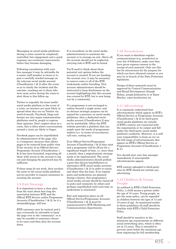Messaging on social media platforms during a crisis cannot be completely controlled, but engagement and a quick response can counteract inaccuracies before they become damaging.

Following consultation with your line manager it may be advisable for a senior staff member to tweet or to post a carefully worded message on the relevant social media account (Classification 1 & 2) after the event so as to clarify the incident and the outcome, reaching out to those who were most active during the crisis to alert them to this follow-up.

Twitter is arguably the least useful social media platform in the event of a crisis, as tweeters are most likely to spread what they see on Twitter via word-of-mouth. Facebook, blogs and forums are also major communication platforms used by people to express their opinions. Don't neglect these in a crisis, this is often where conversations around a crisis are likely to linger.

Facebook pages can be unpublished by administrators of the page; this is a temporary measure that allows pages to be removed from public view. If the security of an Official Service/ Programme Account (Classification 1 & 2) has been breached, requesting all those with access to the account to log out and changing the password may be sufficient.

If these steps do not work, then escalate the issue to the social media platform service provider to request assistance in securing the account.

#### **1.9 Exit Strategy**

It is important to have a clear plan from the start about how long the association between RTÉ and the Official RTÉ Service and/or Programme Accounts (Classification 1 & 2), be it a site/profile/page, will last.

RTÉ's presence may be tactical and it may eventually be advisable to hand the page over to the 'community'; or it may be sensible to announce closure to its users and then shut the account down.

It is incumbent on the social media administrator(s) to maintain the account or to arrange an exit. Above all, the account should not be neglected, carrying risk to RTÉ and its brand.

You'll need to think about these potential exit options before the account is created. If you are handing the account over, it may be necessary to remove some or all of the RTÉ trademarks and/or branding. New account administrators should be instructed to keep disclaimers on the account highlighting that this account was created by RTÉ, but is now being run by a community.

If a programme is not envisaged to endure beyond a single series, and no obvious strategic purpose can be argued for a presence on social media platforms, then a dedicated social media account (Classification 2) may not be worthwhile. Often the RTÉ website provides a platform that can amply meet the needs of programmemakers (i.e. in terms of recruitment, call-outs, casting etc).

If an Official Service/Programme Account (Classification 1 & 2) does exist and a programme will be off-air for a significant length of time, i.e. more than a month, then a migration/exit strategy needs to be implemented. The social media administrator(s) should publish a post that directs fans/followers to alternative RTÉ social media accounts (Classification 1 & 2) in order to retain and share that fan base. If no regular posts and moderation are planned during a hiatus, that programme's social media stream should be closed off to posts and comments by others and perhaps unpublished until such time as moderation is reinstated.

Exit and migration plans on all Official Service/Programme Accounts (Classification  $1 \& 2$ ) must be communicated to RTÉ Marketing and Communications departments.

#### **1.10 Newsletters**

If you want to distribute regular communications (e.g. newsletter) to your list of followers, make sure they have given express consent to the receipt of such material. Only use this list for interactions for the purpose for which you have obtained consent or you may be in breach of the Data Protection legislation.

Design of these materials must be approved by Central Communications and Brand Development (Joseph Hoban, joseph.hoban@rte.ie or Emer Beesley, emer.beesley@rte.ie).

#### **1.11 Advertising**

It is commonly understood that advertisements which appear on RTÉ's Official Service or Programme Accounts (Classification 1 & 2) on third-party social media platforms are outside of RTÉ's control, not connected with the organisation or its output and fall under the third-party social media platform's authority. However, it is still your responsibility to keep an eye on the full range of advertisements that appear on RTÉ's Official Service or Programme Accounts (Classification 1  $& 2.$ 

You should alert your line manager immediately if unacceptable advertisements appear.

RTÉ content uploaded to third-party sites by RTÉ should not include any advertising.

#### **1.12 Children & Young People**

As outlined in RTÉ's Child Protection Policy, a child means a person under the age of 18 years. Young people, as per the same policy, can be regarded as children between the ages of 15 and 18 years of age. As mentioned earlier in these guidelines all staff should be familiar with RTÉ's Child Protection Policy.

Staff should be sensitive to the minimum age requirements on different social networking sites, which is often set at 13 years. This is intended to prevent users below the minimum age from registering for full membership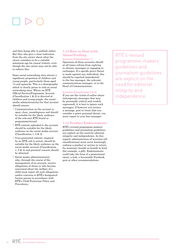and then being able to publish online. But they also give a clear indication from the site owner about what the owner considers to be a suitable minimum age for casual visitors, even though the site owner may not be able to enforce this.

Some social networking sites attract a significant proportion of children and young people, particularly those aged 13 and upwards. This is a demographic which is clearly prone to risk on social networking sites. Where an RTÉ Official Service/Programme Account (Classification 1  $\&$  2) is directed at children and young people, the social media administrator(s) for that account should ensure:

- Communication on the account is open, clear, unambiguous and should be suitable for the likely audience of the relevant RTÉ brand or programme/strand
- $\cdot$  RTÉ content uploaded to the account should be suitable for the likely audience on the social media account (Classification 1, 2 & 3)
- User-generated content, inspired by an RTÉ call to action, should be suitable for the likely audience on the social media account (Classification 1, 2 & 3) and parental consent should be obtained
- Social media administrator(s) who, through the course of the management of an account, receive allegations of abuse or who become concerned about the welfare of a child must report all such allegations and/or concerns to RTÉ's designated liaison person in accordance with RTÉ's Child Protection Policy and Procedures.

## **1.13 How to Deal with Abuse/Trolling**

#### Accounts (Classification 1)

Operators of these accounts should at all times refrain from replying to abusive messages or engaging in exchanges. If a specific grave threat is made against any individual, this should be reported immediately to the line manager, the relevant communications manager, or to the Head of Communications.

#### Accounts (Classification 2 & 3)

If you are the victim of online abuse (intemperate messages that may be personally critical and crudely expressed), it is best to ignore such messages. If however you receive a message, post or tweet that you consider a grave personal threat, you must report to your line manager.

## **1.14 Product Endorsements**

RTÉ's revised programme-makers' guidelines and journalism guidelines are explicit on the need for editorial integrity and independence. In this regard, administrators of accounts (all classifications) must never knowingly endorse a product or service in return for monetary benefit or benefit in kind (for example, a gift). Endorsements could take the form of a promotional tweet, a link, a favourable Facebook post or other recommendations.

RTÉ's revised programme-makers' guidelines and journalism guidelines are explicit on the need for editorial integrity and independence.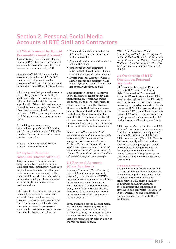## Section 2. Personal Social Media Accounts of RTÉ Staff and Contractors

### **2.1 What is meant by Hybrid Personal/Personal Account?**

This section refers to the use of social media by RTÉ staff and contractors of social media accounts which have not been set up or managed by RTÉ.

Outside of official RTÉ social media accounts (Classification 1 & 2), RTÉ considers all other social media accounts, of staff and contractors, to be personal accounts (Classification 3 & 4).

RTÉ recognises that personal accounts, particularly those of on-air/editorial staff, are likely to be associated with RTÉ, a likelihood which increases significantly if the social media account is used for work purposes; for example, if you post content related to your position in RTÉ or you use your account to highlight upcoming programmes or series.

In devising a common sense, practicable approach to social media, considering existing usage, RTÉ splits the classification of personal accounts into two categories:

Class 3 Hybrid Personal Account Class 4 Personal Account

## **2.2 Hybrid Personal Accounts (Classification 3)**

This is a personal account that an on-air presenter, reporter or other RTÉ staff member/contractor also uses for work related matters. Holders of such an account must comply with these guidelines when using a hybrid personal account for all use, including, without limitation, personal and professional use.

RTÉ accepts that these accounts may be used legitimately in connection with RTÉ business, however the account remains the responsibility of the account owner. If RTÉ staff and contractors choose to use personal social media accounts for work purposes they should observe the following:

- • You should identify yourself as an RTÉ employee or contractor in the profile/biography
- • You should use a personal image and not the RTÉ logo
- • You should include language to indicate that shared links, retweets, etc., do not constitute endorsements
- • Hybrid Personal Accounts (Class 3) should contain the disclaimer:'The views expressed are my own and do not express the views of RTÉ'

This disclaimer should be displayed in the interests of transparency and maintaining trust with the public. Its purpose is to alert online users to the personal nature of the account. However, note that it does not serve as protection and staff and contractors are liable for their accounts and are bound by these guidelines. RTÉ could also be vicariously liable for acts of its employees. Humorous or arch phrasing of this disclaimer is not appropriate.

Note: Staff with existing hybrid personal social media accounts should retrospectively inform their line manager if the account references 'RTÉ' in the account name. If you wish to start using <sup>a</sup> hybrid personal social media account (Classification 3), discuss the potential risks and conflicts of interest with your line manager.

#### **2.3 Personal Accounts (Classification 4)**

A personal account (Classification 4) is a social media account set up by an employee or contractor of RTÉ for personal matters and contains minimal association between the user and RTÉ (example: a personal Facebook page). Nonetheless, these accounts, by nature of the owner's contractual association with RTÉ, are bound by these guidelines.

If you operate a personal social media account (Classification 4), you may say that you work for RTÉ in your profile/ biography but accounts should then contain the following line: *'The views expressed are my own and do not express the views of RTÉ.'*

(RTÉ staff should read this in conjunction with Chapter 7 , Section 6 of the RTÉ Staff Manual – RTÉ's Policy on the Personal and Public Activities of Staff as well as Appendix <sup>5</sup> of the RTÉ Code of Business Conduct (Sections 7  $& 12)$ .)

#### **2.4 Ownership of RTÉ Content on Personal Accounts**

RTÉ owns the Intellectual Property Rights to RTÉ-related content on Hybrid Personal and/or Personal Accounts (Classifications 3 & 4). RTÉ reserves the right to instruct RTÉ staff and contractors to do such acts as are necessary to transfer ownership of such content to RTÉ. RTÉ reserves the right to instruct RTÉ staff and contractors to remove RTÉ-related content from their hybrid personal and/or personal social media accounts (Classifications 3 & 4).

RTÉ reserves the right to instruct RTÉ staff and contractors to remove content from hybrid personal and/or personal social media accounts which brings RTÉ into disrepute (Class 3 & Class 4). Failure to comply with instructions referred to in this paragraph 2.3 will be treated as a disciplinary matter for employees and subject to the normal courses of disciplinary action. Contractors may have their contracts terminated.

#### Principles & Practices

The principles and practices outlined in these guidelines should be followed; however these guidelines do not exist in isolation and are informed by other related RTÉ policy documents. Individuals should understand the obligations and constraints as employees and contractors, as laid out in the 'Obligations and Constraints' section in the introduction to these guidelines.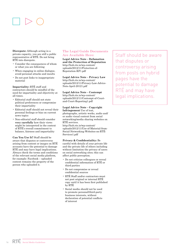**Disrepute:** Although acting in a private capacity, you are still a public representative of RTÉ. Do not bring RTÉ into disrepute.

- • Consider the consequences of whom or what you are following
- • When engaging in online dialogue, avoid personal attacks and insults
- • Do not post links to inappropriate material

### **Impartiality:** RTÉ staff and

contractors should be mindful of the need for impartiality and objectivity at all times.

- Editorial staff should not state political preferences or compromise their impartiality
- Editorial staff should not reveal their personal feelings or bias on current news topics
- Non-editorial staff should consider **very carefully** how their views might be interpreted in the context of RTÉ's overall commitment to balance, fairness and impartiality

**Can You Use It?** Staff should be aware that disputes or controversy arising from content or images on RTÉ accounts have the potential to damage RTÉ and may have legal implications. Always check the terms and conditions of the relevant social media platform, for example: Facebook – uploaded content remains the property of the person who uploaded it.

#### **The Legal Guide Documents Are Available Here:**

**Legal Advice Note – Defamation and the Protection of Reputation**  http://hub.rte.ie/wp-content/ uploads/2012/11/Protection-of-Reputation-KF1.pdf

**Legal Advice Note – Privacy Law**  http://hub.rte.ie/wp-content/ uploads/2012/11/Privacy-Law-Advice-Note-April-20121.pdf

#### **Legal Advice Note – Contempt**

http://hub.rte.ie/wp-content/ uploads/2012/11/Contempt-of-Courtand-Court-Reporting1.pdf

### **Legal Advice Note – Copyright**

**Infringement** Use of text, photographs, artistic works, audio and/ or audio visual content from social networking/media sharing websites on RTÉ services. http://hub.rte.ie/wp-content/ uploads/2012/11/Use-of-Material-from-

Social-Networking-Websites-on-RTÉ-Services1.pdf

#### **Privacy & Confidentiality:** Be

careful with details of your private life and the private life of others including without limitation the privacy of users on social networking sites; this can affect public perception.

- • Do not criticise colleagues or reveal confidential information of RTÉ or third parties
- • Do not compromise or reveal confidential sources
- • RTÉ Staff and/or contractors must not post original or internal RTÉ copy until it has been first published by RTÉ
- • Social media should not be used to promote personal/third-party business interests, without declaration of potential conflicts of interest

Staff should be aware that disputes or controversy arising from posts on hybrid pages have the potential to damage RTÉ and may have legal implications.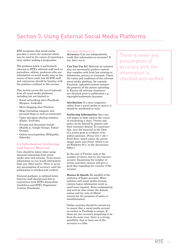## Section 3. Using External Social Media Platforms

RTÉ recognises that social media provides a source for material which may be used in the course of reporting a story and/or making a programme

The guidance below is particularly relevant to RTÉ's editorial staff such as journalists, editors, producers who use information on social media sites in the course of their work, but all RTÉ staff and contractors should be familiar with the guidance outlined in this section.

This section covers the use of material from all social media platforms including but not limited to:

- • Social networking sites (Facebook, Myspace, Linkedin)
- • Micro-blogging sites (Twitter)
- • Blogs (including company and personal blogs as well as comments)
- • Video and photo sharing websites (Flickr, YouTube)
- • Forums and discussion boards (Boards.ie, Google Groups, Yahoo! Groups)
- • Online encyclopaedias (Wikipedia, Sidewiki)

#### **3.1 Information Gathering and Source Material**

Care should be taken when using material emanating from social media sites and streams. Treat source information as you would information from any other source. There is never any presumption of accuracy until the information is checked and verified.

(General guidance is outlined below however staff should read this in conjunction with  $RTE's$  Journalism Guidelines and RTÉ's Programme Content Standards)

#### Principles and Practices

**Accuracy:** Can you independently verify this information as accurate? If not, don't use it.

**Can You Use It?:** Material on websites may not necessarily produce content that complies with Irish law relating to defamation, privacy or contempt. Check the terms and conditions of the relevant social media platform, for example Facebook, uploaded content remains the property of the person uploading it. Ensure all relevant clearances are obtained prior to publication e.g. copyright/trademark clearance.

**Attribution:** If a story originates online from a social media or source, it should be attributed as such.

**Gathering Information:** Save any web pages or links used in the course of researching a story. Tweets and posts can be deleted by posters and their existence denied. To counteract this, save the material in the form of a screen grab as evidence of its initial existence. (Press Ctrl + Alt + Print Scrn, which copies the screen image; paste into Paint, which is on all Windows PCs, in the Accessories folder.)

In the case of Twitter, look at the number of tweets sent by the relevant account. Examining the number of tweets and their content will give a good idea regarding the veracity of the account.

**Hoaxes & Spoofs:** Be mindful of the existence of bogus accounts. Many websites and social media streams contain bogus information (such as spoof news reports). Some campaigning and activist sites mimic the domain names and lay-outs of official sources for the purposes of satire or misinformation.

Online searches should be carried out to ensure that a social media account on twitter or Facebook is unique. If there are two accounts purporting to be from the same user, there is a strong possibility that at least one of the accounts is a fake.

There is never any presumption of accuracy until the information is checked and verified.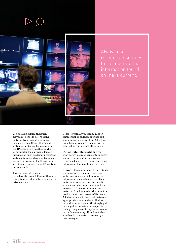



Always use recognised sources to corroborate that information found online is current.

You should perform thorough provenance checks before using material from websites or social media streams. Check the 'About Us' section on websites, for instance, or the IP search engines (http://who. is/ or similar tools provide domain information such as domain registrar, status, administrative and technical contact information for the owner of any domain name, IP and IP location information).

Twitter accounts that have considerably fewer followers than are being followed should be treated with extra caution.

**Bias:** As with any medium, hidden commercial or political agendas can shape social media content. Checking links from a website can often reveal political or commercial affiliations.

**Out of Date Information:** Even trustworthy sources can contain pages that are not updated. Always use recognised sources to corroborate that information found online is current.

Privacy: Huge numbers of individuals post material – including pictures, audio and video – which may reveal information about themselves. This material is generally for the benefit of friends and acquaintances and the uploader retains ownership of such material. (Such material should not be used without the consent of its owner.) A balance needs to be struck between appropriate use of material that an individual may have unthinkingly put in the public domain and respect for their privacy even if they have become part of a news story. If in doubt about whether to use material consult your line manager.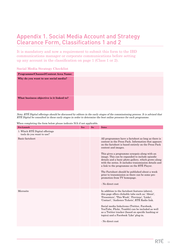## Appendix 1. Social Media Account and Strategy Clearance Form, Classifications 1 and 2

It is mandatory and now a requirement to submit this form to the IBD communications manager or corporate communications before setting up any account in the classification on page 1 (Class 1 or 2).

#### **Social Media Strategy Checklist**

| Programme/Channel/Content Area Name:     |  |
|------------------------------------------|--|
| Why do you want to use social media?     |  |
| What business objective is it linked to? |  |

Note: RTÉ Digital offerings should be discussed by editors in the early stages of the commissioning process. It is advised that RTÉ Digital be consulted in these early stages in order to determine the best online presence for each programme.

| Pre-Launch                                                  | Yes | No | <b>Notes</b>                                                                                                                                                                                                                                                                                                                                                                                                                                                                                                                                                                                                         |
|-------------------------------------------------------------|-----|----|----------------------------------------------------------------------------------------------------------------------------------------------------------------------------------------------------------------------------------------------------------------------------------------------------------------------------------------------------------------------------------------------------------------------------------------------------------------------------------------------------------------------------------------------------------------------------------------------------------------------|
| 1: Which RTÉ Digital offerings<br>tools do you want to use? |     |    |                                                                                                                                                                                                                                                                                                                                                                                                                                                                                                                                                                                                                      |
| <b>Basic factsheet</b>                                      |     |    | All programmes have a factsheet as long as there is<br>content in the Press Pack. Information that appears<br>on the factsheet is based entirely on the Press Pack<br>content and images.<br>This gives a programme synopsis along with an<br>image. This can be expanded to include episodic<br>details and a basic photo gallery, which grows along<br>with the series. It includes transmission details and<br>a link to the programme on the RTÉ Player.<br>The Factsheet should be published about a week<br>prior to transmission so there can be some pre-<br>promotion from TV homepage.<br>- No direct cost |
| Microsite                                                   |     |    | In addition to the factsheet features (above),<br>this page offers clickable tabs such as: 'About',<br>'Presenters', 'This Week', 'Previous', 'Links',<br>'Contact', 'Audience Tickets', RTÉ Radio link.<br>Social media links/icons (Twitter, Facebook,<br>YouTube, Flickr, Tumblr) can be included as well<br>as a Twitter tracker (based on specific hashtag or<br>topics) and a Facebook 'Like' plug-in.<br>- No direct cost                                                                                                                                                                                     |

When completing the form below please indicate N/A if not applicable.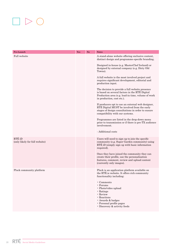# $\Box \triangleright \bigcirc$

| Pre-Launch                               | Yes | No | <b>Notes</b>                                                                                                                                                                                                                                                                                                                                                                                                                                                                                                                                                                                                                                                                                                                                                                                                                                                                    |
|------------------------------------------|-----|----|---------------------------------------------------------------------------------------------------------------------------------------------------------------------------------------------------------------------------------------------------------------------------------------------------------------------------------------------------------------------------------------------------------------------------------------------------------------------------------------------------------------------------------------------------------------------------------------------------------------------------------------------------------------------------------------------------------------------------------------------------------------------------------------------------------------------------------------------------------------------------------|
| Full website                             |     |    | A stand-alone website offering exclusive content,<br>distinct design and programme-specific branding.<br>Designed in-house (e.g. MasterChef Ireland) or<br>designed by external company (e.g. Dirty Old<br>Towns).<br>A full website is the most involved project and<br>requires significant development, editorial and<br>production input.<br>The decision to provide a full website presence<br>is based on several factors in the RTÉ Digital<br>Production area (e.g. lead-in time, volume of work<br>in production, cost etc.).<br>If producers opt to use an external web designer,<br>RTÉ Digital MUST be involved from the early<br>stages of design consultations in order to ensure<br>compatibility with our systems.<br>Programmes are listed in the drop-down menu<br>prior to transmission or if there is pre-TX audience<br>involvement.<br>- Additional costs |
| RTÉ iD<br>(only likely for full website) |     |    | Users will need to sign up to join the specific<br>community (e.g. Super Garden community) using<br>RTÉ iD (simply sign up with basic information<br>required).<br>Once they have joined the community they can<br>create their profile, use the personalisation<br>features, comment, review and upload content<br>(currently only images).                                                                                                                                                                                                                                                                                                                                                                                                                                                                                                                                    |
| Pluck community platform                 |     |    | Pluck is an application platform available on<br>the RTÉ ie website. It offers rich community<br>functionality including:<br>$\cdot$ Comments<br>$\cdot$ Forums<br>• Photo/video upload<br>$\cdot$ Ratings<br>· Review<br>· Reactions<br>· Awards & badges<br>• Personal profile pages<br>• Discovery & activity feeds                                                                                                                                                                                                                                                                                                                                                                                                                                                                                                                                                          |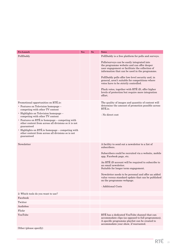| Pre-Launch                                                                                                                                                                                                                                                                                                                                                                                                                                                    | Yes | No | <b>Notes</b>                                                                                                                                                                                                                                                                                                                                                                                                                                                                                                             |
|---------------------------------------------------------------------------------------------------------------------------------------------------------------------------------------------------------------------------------------------------------------------------------------------------------------------------------------------------------------------------------------------------------------------------------------------------------------|-----|----|--------------------------------------------------------------------------------------------------------------------------------------------------------------------------------------------------------------------------------------------------------------------------------------------------------------------------------------------------------------------------------------------------------------------------------------------------------------------------------------------------------------------------|
| PollDaddy                                                                                                                                                                                                                                                                                                                                                                                                                                                     |     |    | PollDaddy is a free platform for polls and surveys.<br>Polls/surveys can be easily integrated into<br>the programme website and can offer deeper<br>user engagement or facilitate the collection of<br>information that can be used in the programme.<br>PollDaddy polls offer low-level security and, in<br>general, aren't suitable for competitions where<br>votes have to be strictly controlled.<br>Pluck votes, together with RTÉ iD, offer higher<br>levels of protection but require more integration<br>effort. |
| Promotional opportunities on RTÉ.ie:<br>• Features on Television homepage –<br>competing with other TV content<br>· Highlights on Television homepage -<br>competing with other TV content<br>$\cdot$ Features on RTÉ ie homepage – competing with<br>other content from across all divisions so it is not<br>guaranteed<br>• Highlights on RTÉ.ie homepage - competing with<br>other content from across all divisions so is not<br>guaranteed<br>Newsletter |     |    | The quality of images and quantity of content will<br>determine the amount of promotion possible across<br>RTÉ.ie.<br>- No direct cost<br>A facility to send out a new sletter to a list of                                                                                                                                                                                                                                                                                                                              |
|                                                                                                                                                                                                                                                                                                                                                                                                                                                               |     |    | subscribers.<br>Subscribers could be recruited via a website, mobile<br>app, Facebook page, etc.<br>An RTÉ iD account will be required to subscribe to<br>an email newsletter.<br>Suitable for longer term engagement.<br>Newsletter needs to be personal and offer an added<br>value versus standard update that can be published<br>on the programme webpage.<br>- Additional Costs                                                                                                                                    |
| 2: Which tools do you want to use?                                                                                                                                                                                                                                                                                                                                                                                                                            |     |    |                                                                                                                                                                                                                                                                                                                                                                                                                                                                                                                          |
| Facebook                                                                                                                                                                                                                                                                                                                                                                                                                                                      |     |    |                                                                                                                                                                                                                                                                                                                                                                                                                                                                                                                          |
| Twitter                                                                                                                                                                                                                                                                                                                                                                                                                                                       |     |    |                                                                                                                                                                                                                                                                                                                                                                                                                                                                                                                          |
| Audioboo                                                                                                                                                                                                                                                                                                                                                                                                                                                      |     |    |                                                                                                                                                                                                                                                                                                                                                                                                                                                                                                                          |
| Flickr                                                                                                                                                                                                                                                                                                                                                                                                                                                        |     |    |                                                                                                                                                                                                                                                                                                                                                                                                                                                                                                                          |
| YouTube                                                                                                                                                                                                                                                                                                                                                                                                                                                       |     |    | RTÉ has a dedicated YouTube channel that can<br>accommodate clips (as opposed to full programmes).<br>A specific programme playlist can be created to<br>accommodate your show, if warranted.                                                                                                                                                                                                                                                                                                                            |
| Other (please specify)                                                                                                                                                                                                                                                                                                                                                                                                                                        |     |    |                                                                                                                                                                                                                                                                                                                                                                                                                                                                                                                          |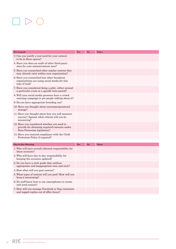# $\Box \triangleright \bigcirc$

| Pre-Launch                                                                                                                   | Yes | No | <b>Notes</b> |
|------------------------------------------------------------------------------------------------------------------------------|-----|----|--------------|
| 3: Can you justify a real need for your content<br>to be in these spaces?                                                    |     |    |              |
| 4: Have you done an audit of other third-party<br>sites for your station/content area?                                       |     |    |              |
| 5: Have you researched other similar content that<br>may already exist within your organisation?                             |     |    |              |
| 6: Have you researched how other broadcast<br>organisations are using social media for this<br>type of task?                 |     |    |              |
| 7: Have you considered doing a pilot, either around<br>a particular event or a specific time period?                         |     |    |              |
| 8: Will your social media presence have a crowd-<br>sourcing campaign to get people talking about it?                        |     |    |              |
| 9: Do you have appropriate branding use?                                                                                     |     |    |              |
| 10: Have you thought about username/password<br>storage?                                                                     |     |    |              |
| 11: Have you thought about how you will measure<br>success? Against what criteria will you be<br>measuring?                  |     |    |              |
| 12: Have you considered whether you need to<br>provide for obtaining required consents under<br>Data Protection legislation? |     |    |              |
| 13: Have you ensured compliance with the Child<br>Protection Policy if required?                                             |     |    |              |
| Day-to-Day Running                                                                                                           | Yes | No | <b>Notes</b> |
| 1: Who will have overall editorial responsibility for<br>these accounts?                                                     |     |    |              |
| 2: Who will have day-to-day responsibility for<br>keeping the accounts updated?                                              |     |    |              |
| 3: Do you have a style guide that outlines<br>appropriate and inappropriate tone and style?                                  |     |    |              |
| 4: How often will you post content?                                                                                          |     |    |              |
| 5: What types of content will you post? How will you<br>keep it interesting?                                                 |     |    |              |
| 6: Do staff know how to use smartphones to create<br>and send content?                                                       |     |    |              |
| 7: How will you manage Facebook or blog comments<br>and tagged replies out of office hours?                                  |     |    |              |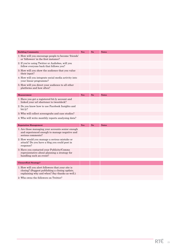| <b>Building Community</b>                                                                                                                            | Yes | No. | <b>Notes</b> |
|------------------------------------------------------------------------------------------------------------------------------------------------------|-----|-----|--------------|
| 1: How will you encourage people to become 'friends'<br>or 'followers' in the first instance?                                                        |     |     |              |
| 2: If you're using Twitter or Audioboo, will you<br>follow everyone back that follows you?                                                           |     |     |              |
| 3: How will you show the audience that you value<br>their input?                                                                                     |     |     |              |
| 4: How will you integrate social media activity into<br>your linear programme?                                                                       |     |     |              |
| 5: How will you direct your audience to all other<br>platforms and how often?                                                                        |     |     |              |
|                                                                                                                                                      |     |     |              |
| <b>Measurement</b>                                                                                                                                   | Yes | No  | <b>Notes</b> |
| 1: Have you got a registered bit.ly account and<br>linked your url shortener to tweetdeck?                                                           |     |     |              |
| 2: Do you know how to use Facebook Insights and<br>bit.ly?                                                                                           |     |     |              |
|                                                                                                                                                      |     |     |              |
| 3: Who will collect screengrabs and case studies?                                                                                                    |     |     |              |
| 4: Who will write monthly reports analysing data?                                                                                                    |     |     |              |
|                                                                                                                                                      |     |     |              |
| <b>Reputation Management</b>                                                                                                                         | Yes | No  | <b>Notes</b> |
| 1: Are those managing your accounts senior enough<br>and experienced enough to manage negative and<br>serious comments?                              |     |     |              |
| 2: How would you manage a serious mistake or<br>attack? Do you have a blog you could post in<br>response?                                            |     |     |              |
| 3: Have you contacted your Publicity/Comms<br>representative about planning a strategy for<br>handling such an event?                                |     |     |              |
|                                                                                                                                                      |     |     |              |
| <b>Closure/Exit Strategy?</b>                                                                                                                        |     |     |              |
| 1: How will you alert followers that your site is<br>closing? (Suggest publishing a closing update,<br>explaining why and when? Say thanks as well.) |     |     |              |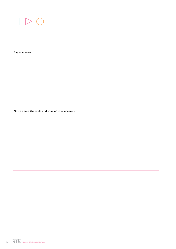

Any other notes: **Notes about the style and tone of your account:**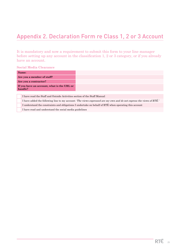# Appendix 2. Declaration Form re Class 1, 2 or 3 Account

It is mandatory and now a requirement to submit this form to your line manager before setting up any account in the classification 1, 2 or 3 category, or if you already have an account.

### **Social Media Clearance**

|                                                       | Name:                                                                                                               |  |  |  |  |
|-------------------------------------------------------|---------------------------------------------------------------------------------------------------------------------|--|--|--|--|
| Are you a member of staff?                            |                                                                                                                     |  |  |  |  |
| Are you a contractor?                                 |                                                                                                                     |  |  |  |  |
| If you have an account, what is the URL or<br>handle? |                                                                                                                     |  |  |  |  |
|                                                       |                                                                                                                     |  |  |  |  |
|                                                       | I have read the Staff and Outside Activities section of the Staff Manual                                            |  |  |  |  |
|                                                       | I have added the following line to my account: The views expressed are my own and do not express the views of RTÉ.' |  |  |  |  |
|                                                       | I understand the constraints and obligations I undertake on behalf of RTE when operating this account               |  |  |  |  |

I have read and understand the social media guidelines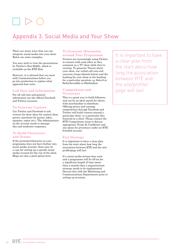# Appendix 3. Social Media and Your Show

There are many ways that you can integrate social media into your show. Below are some examples.

You may wish to view the presentation by Twitter's Dan Biddle, which is available on the RTÉ Hub.

However, it is advised that you meet with Communications before you go into production to explore what approach best suits.

## **Call Outs and Information**

For all call outs and general information use the official Facebook and Twitter accounts

#### **To Generate Content**

Use Twitter and Facebook to ask viewers for their ideas for content (best guests, questions for guests, jokes, opinions, topics etc.). The administrator on the account needs to manage this and moderate responses.

#### **To Build Characters and Drama**

If the presenter/character in your programme does not have his/her own social media account, there may be a case for setting up a specific social media account for the run of the show. Blogs are also a good option here.

#### **To Generate Discussion around Your Programme**

Viewers are increasingly using Twitter to connect with each other as they comment on a TV show while they're viewing. To generate Tweets about your show, use verbal call outs and onscreen straps (details below) and the hashtag for your show or the hashtag for a particular question e.g. #elev8 or #whatIwoulddo or #dothisfirst

#### **Competitions and Giveaways**

This is a great way to build followers and can be an ideal match for shows with merchandise to distribute. Offering prizes and running competitions through Facebook and Twitter will build viewers around a particular show, or a particular idea featured in a show. Please contact the RTÉ Competitions team to discuss appropriate Terms & Conditions and any plans for giveaways under an RTÉbranded account.

#### **Exit Strategy**

It is important to have a clear plan from the start about how long the association between RTÉ and the site/ profile/page will last.

If a social media stream does exist and a programme will be off-air for a significant length of time (more than a month) then a migration/exit strategy needs to be implemented. Discuss this with the Marketing and Communications Departments prior to setting up accounts.

It is important to have a clear plan from the start about how long the association between RTÉ and the site/profile/ page will last.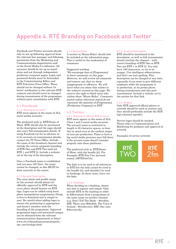# Appendix 4. RTÉ Branding on Facebook and Twitter

Facebook and Twitter accounts should only be set up following approval from the relevant line manager and following permission from the Marketing and Communications departments and/ or the Social Media Co-ordinator. All accounts should be set up as standalone and not through independent producers' corporate pages. Login and password details must be forwarded to the Commissioning Editor and RTÉ Television Press Office. These should not be changed without 24 hours' notification to the relevant RTÉ contacts and should never be changed during transmission of the programme without prior consultation with RTÉ.

#### **4.1 Facebook**

#### 4.1.1. Naming an Account

RTÉ must appear in the name of ALL social media accounts.

The preferred style is: RTÉ/Name of Show. RTÉ should also be mentioned in the description and the page should also carry full transmission details. If using Facebook too far in advance as to be accurate on transmission details, contact the TV Press Office. Include the name of the broadcast channel and include the correct corporate branding of RTÉ One and RTÉ Two (and not RTÉ 1 and RTÉ 2). Include a website url at the top of the description.

Once a Facebook name is established and you pass 100 'fans', the name cannot be changed, so this MUST be done correctly at the outset.

#### 4.1.2 Account Description

The cover photo and profile image on the account should always be officially approved by RTÉ and the cover photo should feature an RTÉ logo. Logos can be added using basic photo manipulation programmes (Gimp is free to download and is simple to use). Be careful when adding logos to ensure the positioning is appropriate and doesn't interfere with the branding of the programme. Approved programme logos and associated images can be obtained from the relevant communications department or http:// www.rte.ie/branding/user/print/print\_ eps\_serviceslogo.html

#### 4.1.3 House Rules

A section on 'House Rules' should also be included on the information page. This is useful in the moderation of comments.

#### Suggested wording:

'We encourage fans of [Programme] to leave comments on this page. However, we will review all comments and remove any that we deem inappropriate or offensive. We will leave what you share that relates to the subjects covered on this page. We reserve the right to block users who violate these "House Rules". Comments posted unless otherwise stated do not represent the opinions of [Programme], [Production Company] or RTÉ.'

#### **4.2 Twitter**

#### 4.2.1. Naming an Official RTÉ Account

RTÉ must appear in the name of ALL Class 1 and 2 social media accounts. The account name is restricted in length to 20 character spaces, so bear this in mind even at the earliest stages of your pre-production. Plans to have a big social media presence may fall down if the account name doesn't transfer properly onto these platforms.

The preferred style is: RTÉ/Name of Show, with the handle [@]. For Example: RTÉ Fair City [account name], @RTEFairCity.

The fada is to be used in all references to RTÉ but the fada cannot be used in the handle (@), and shouldn't be used in hashtags. In these cases, leave out the fada.

#### 4.2.2. Hashtags

When deciding on a hashtag, choose one that is organic and simple. Only include RTÉ in the hashtag in order to differentiate from a programme of the same name on another channel (e.g. Don't Tell The Bride – #rtedttb; BBC Three uses #bbcdttb. The Voice of Ireland – #rtethevoice; BBC One uses #thevoiceuk).

#### 4.2.3. Account Description

RTÉ should be mentioned in the description, as well as full transmission details (include the channel – with correct branding of RTÉ One or RTÉ Two not RTÉ 1 or RTÉ 2). You only have 160 characters, so try to be snappy. Use intelligent abbreviations and don't use text spelling. This description can be changed at any time, especially if you want to give different emphasis while the programme is in production, in its promo phase, during transmission and also posttransmission. Include a website url in the section for that link.

#### 4.2.4. Avatars

Only RTÉ approved official photos or artwork should be used as avatars and they should preferably include the RTÉ logo (channel specific).

Service logos should be stacked. Please refer to Communications and Marketing for guidance and approval of artwork.

Examples of service artwork: